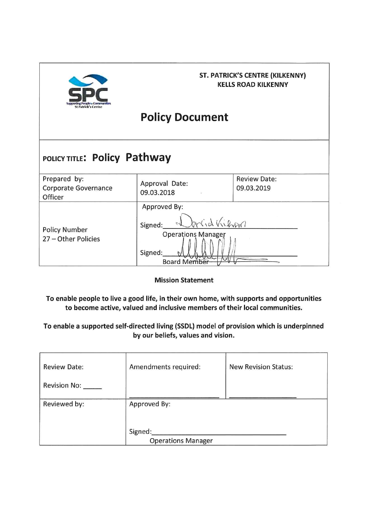

## **ST. PATRICK'S CENTRE (KILKENNY) KELLS ROAD KILKENNY**

# **Policy Document**

## POLICY TITLE: Policy Pathway

| Prepared by:<br>Corporate Governance<br>Officer | Approval Date:<br>09.03.2018                                                                                 | <b>Review Date:</b><br>09.03.2019 |
|-------------------------------------------------|--------------------------------------------------------------------------------------------------------------|-----------------------------------|
| <b>Policy Number</b><br>27 - Other Policies     | Approved By:<br>mid Kilvan<br>Signed:<br><b>Operations Manager</b><br>Signed:<br>ovva<br><b>Board Member</b> |                                   |

**Mission Statement** 

To enable people to live a good life, in their own home, with supports and opportunities to become active, valued and inclusive members of their local communities.

## To enable a supported self-directed living (SSDL) model of provision which is underpinned by our beliefs, values and vision.

| <b>Review Date:</b> | Amendments required:      | <b>New Revision Status:</b> |
|---------------------|---------------------------|-----------------------------|
| Revision No: _____  |                           |                             |
| Reviewed by:        | Approved By:              |                             |
|                     |                           |                             |
|                     | Signed:                   |                             |
|                     | <b>Operations Manager</b> |                             |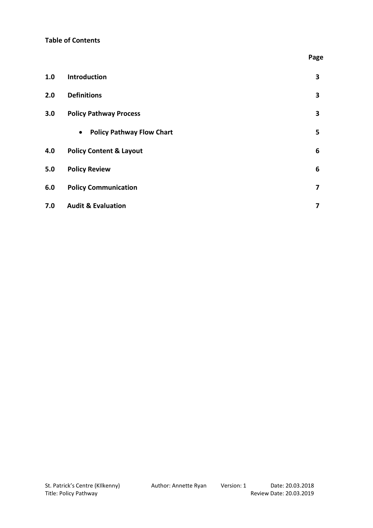#### **Table of Contents**

| 1.0 | Introduction                                  | 3 |
|-----|-----------------------------------------------|---|
| 2.0 | <b>Definitions</b>                            | 3 |
| 3.0 | <b>Policy Pathway Process</b>                 | 3 |
|     | <b>Policy Pathway Flow Chart</b><br>$\bullet$ | 5 |
| 4.0 | <b>Policy Content &amp; Layout</b>            | 6 |
| 5.0 | <b>Policy Review</b>                          | 6 |
| 6.0 | <b>Policy Communication</b>                   | 7 |
| 7.0 | <b>Audit &amp; Evaluation</b>                 | 7 |

 **Page**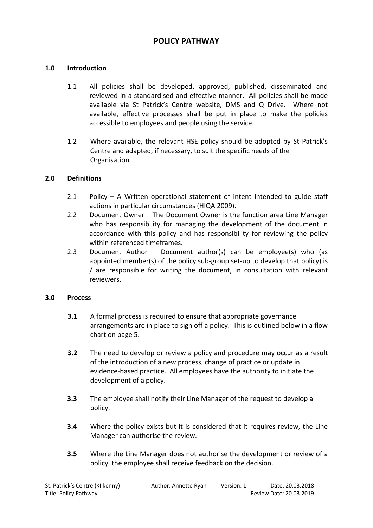## **POLICY PATHWAY**

#### **1.0 Introduction**

- 1.1 All policies shall be developed, approved, published, disseminated and reviewed in a standardised and effective manner. All policies shall be made available via St Patrick's Centre website, DMS and Q Drive. Where not available, effective processes shall be put in place to make the policies accessible to employees and people using the service.
- 1.2 Where available, the relevant HSE policy should be adopted by St Patrick's Centre and adapted, if necessary, to suit the specific needs of the Organisation.

#### **2.0 Definitions**

- 2.1 Policy A Written operational statement of intent intended to guide staff actions in particular circumstances (HIQA 2009).
- 2.2 Document Owner The Document Owner is the function area Line Manager who has responsibility for managing the development of the document in accordance with this policy and has responsibility for reviewing the policy within referenced timeframes.
- 2.3 Document Author Document author(s) can be employee(s) who (as appointed member(s) of the policy sub-group set-up to develop that policy) is / are responsible for writing the document, in consultation with relevant reviewers.

#### **3.0 Process**

- **3.1** A formal process is required to ensure that appropriate governance arrangements are in place to sign off a policy. This is outlined below in a flow chart on page 5.
- **3.2** The need to develop or review a policy and procedure may occur as a result of the introduction of a new process, change of practice or update in evidence-based practice. All employees have the authority to initiate the development of a policy.
- **3.3** The employee shall notify their Line Manager of the request to develop a policy.
- **3.4** Where the policy exists but it is considered that it requires review, the Line Manager can authorise the review.
- **3.5** Where the Line Manager does not authorise the development or review of a policy, the employee shall receive feedback on the decision.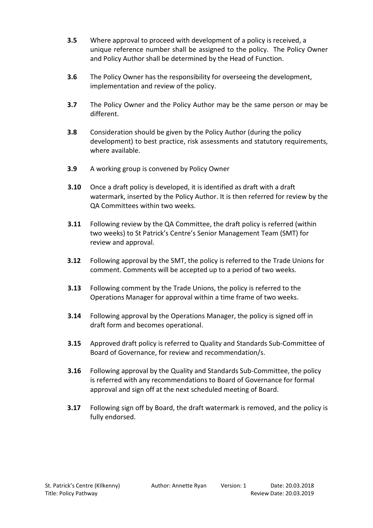- **3.5** Where approval to proceed with development of a policy is received, a unique reference number shall be assigned to the policy. The Policy Owner and Policy Author shall be determined by the Head of Function.
- **3.6** The Policy Owner has the responsibility for overseeing the development, implementation and review of the policy.
- **3.7** The Policy Owner and the Policy Author may be the same person or may be different.
- **3.8** Consideration should be given by the Policy Author (during the policy development) to best practice, risk assessments and statutory requirements, where available.
- **3.9** A working group is convened by Policy Owner
- **3.10** Once a draft policy is developed, it is identified as draft with a draft watermark, inserted by the Policy Author. It is then referred for review by the QA Committees within two weeks.
- **3.11** Following review by the QA Committee, the draft policy is referred (within two weeks) to St Patrick's Centre's Senior Management Team (SMT) for review and approval.
- **3.12** Following approval by the SMT, the policy is referred to the Trade Unions for comment. Comments will be accepted up to a period of two weeks.
- **3.13** Following comment by the Trade Unions, the policy is referred to the Operations Manager for approval within a time frame of two weeks.
- **3.14** Following approval by the Operations Manager, the policy is signed off in draft form and becomes operational.
- **3.15** Approved draft policy is referred to Quality and Standards Sub-Committee of Board of Governance, for review and recommendation/s.
- **3.16** Following approval by the Quality and Standards Sub-Committee, the policy is referred with any recommendations to Board of Governance for formal approval and sign off at the next scheduled meeting of Board.
- **3.17** Following sign off by Board, the draft watermark is removed, and the policy is fully endorsed.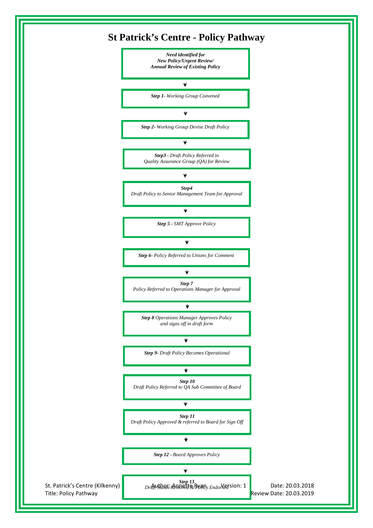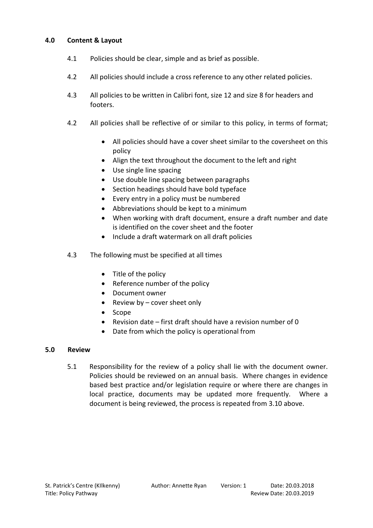#### **4.0 Content & Layout**

- 4.1 Policies should be clear, simple and as brief as possible.
- 4.2 All policies should include a cross reference to any other related policies.
- 4.3 All policies to be written in Calibri font, size 12 and size 8 for headers and footers.
- 4.2 All policies shall be reflective of or similar to this policy, in terms of format;
	- All policies should have a cover sheet similar to the coversheet on this policy
	- Align the text throughout the document to the left and right
	- Use single line spacing
	- Use double line spacing between paragraphs
	- Section headings should have bold typeface
	- Every entry in a policy must be numbered
	- Abbreviations should be kept to a minimum
	- When working with draft document, ensure a draft number and date is identified on the cover sheet and the footer
	- Include a draft watermark on all draft policies
- 4.3 The following must be specified at all times
	- Title of the policy
	- Reference number of the policy
	- Document owner
	- Review by cover sheet only
	- Scope
	- Revision date first draft should have a revision number of 0
	- Date from which the policy is operational from

#### **5.0 Review**

5.1 Responsibility for the review of a policy shall lie with the document owner. Policies should be reviewed on an annual basis. Where changes in evidence based best practice and/or legislation require or where there are changes in local practice, documents may be updated more frequently. Where a document is being reviewed, the process is repeated from 3.10 above.